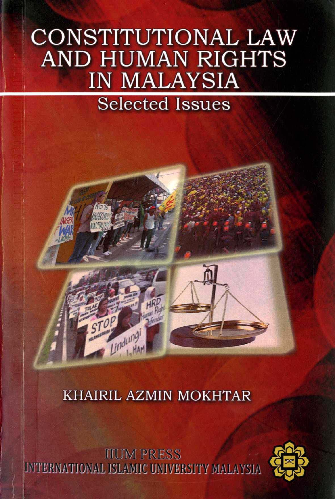# CONSTITUTIONAL LAW **AND HUMAN RIGHTS IN MALAYSIA**

## **Selected Issues**

### KHAIRIL AZMIN MOKHTAR

indung

**IIUM PRESS** INTERNATIONAL ISLAMIC UNIVERSITY MALAYSIA

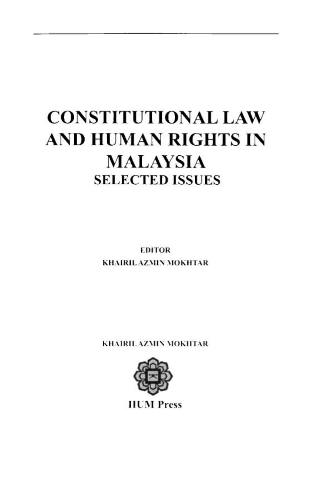## **CONSTITUTIONAL LAW AND HUMAN RIGHTS IN MALAYSIA SELECTED ISSUES**

**EDITOR** KHAIRIL AZMIN MOKHTAR

KHAIRIL AZMIN MOKHTAR



**HUM** Press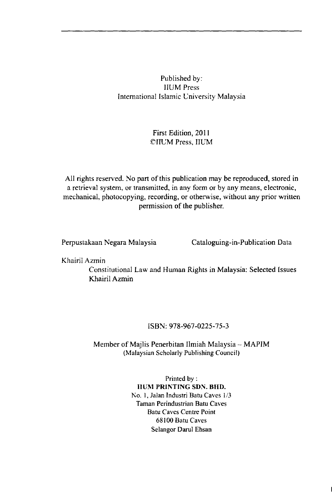#### Published by: **IIUM** Press International Islamic University Malaysia

#### First Edition, 2011 CIIUM Press, IIUM

All rights reserved. No part of this publication may be reproduced, stored in a retrieval system, or transmitted, in any form or by any means, electronic, mechanical, photocopying, recording, or otherwise, without any prior written permission of the publisher.

Perpustakaan Negara Malaysia

Cataloguing-in-Publication Data

Khairil Azmin

Constitutional Law and Human Rights in Malaysia: Selected Issues Khairil Azmin

#### ISBN: 978-967-0225-75-3

#### Member of Majlis Penerbitan Ilmiah Malaysia -- MAPIM (Malaysian Scholarly Publishing Council)

Printed by: **HUM PRINTING SDN. BHD.** No. 1, Jalan Industri Batu Caves 1/3 Taman Perindustrian Batu Caves Batu Caves Centre Point 68100 Batu Caves Selangor Darul Ehsan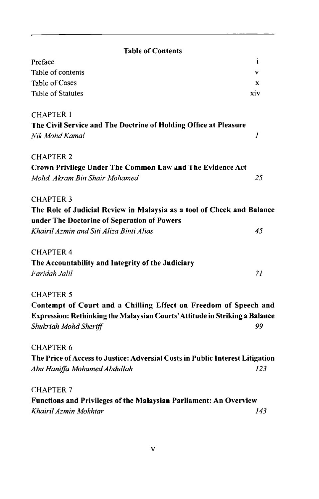| <b>Table of Contents</b>                                                      |     |
|-------------------------------------------------------------------------------|-----|
| Preface                                                                       | i   |
| Table of contents                                                             | v   |
| Table of Cases                                                                | x   |
| <b>Table of Statutes</b>                                                      | xiv |
| <b>CHAPTER 1</b>                                                              |     |
| The Civil Service and The Doctrine of Holding Office at Pleasure              |     |
| Nik Mohd Kamal                                                                | 1   |
| <b>CHAPTER 2</b>                                                              |     |
| Crown Privilege Under The Common Law and The Evidence Act                     |     |
| Mohd, Akram Bin Shair Mohamed                                                 | 25  |
| <b>CHAPTER 3</b>                                                              |     |
| The Role of Judicial Review in Malaysia as a tool of Check and Balance        |     |
| under The Doctorine of Seperation of Powers                                   |     |
| Khairil Azmin and Siti Aliza Binti Alias                                      | 45  |
| <b>CHAPTER 4</b>                                                              |     |
| The Accountability and Integrity of the Judiciary                             |     |
| Faridah Jalil                                                                 | 71  |
| <b>CHAPTER 5</b>                                                              |     |
| Contempt of Court and a Chilling Effect on Freedom of Speech and              |     |
| Expression: Rethinking the Malaysian Courts' Attitude in Striking a Balance   |     |
| Shukriah Mohd Sheriff                                                         | 99  |
| <b>CHAPTER 6</b>                                                              |     |
| The Price of Access to Justice: Adversial Costs in Public Interest Litigation |     |
| Abu Haniffa Mohamed Abdullah                                                  | 123 |
| <b>CHAPTER 7</b>                                                              |     |
| Functions and Privileges of the Malaysian Parliament: An Overview             |     |
| Khairil Azmin Mokhtar                                                         | 143 |
|                                                                               |     |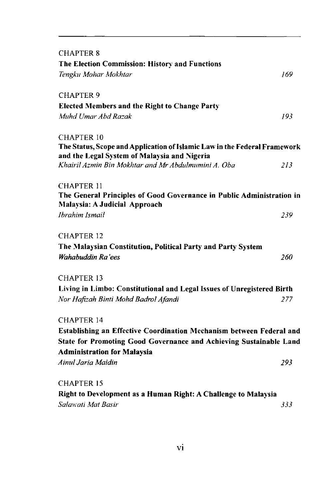| <b>CHAPTER 8</b>                                                                                                          |     |
|---------------------------------------------------------------------------------------------------------------------------|-----|
| The Election Commission: History and Functions                                                                            |     |
| Tengku Mohar Mokhtar                                                                                                      | 169 |
| <b>CHAPTER 9</b>                                                                                                          |     |
| <b>Elected Members and the Right to Change Party</b>                                                                      |     |
| Muhd Umar Abd Razak                                                                                                       | 193 |
| <b>CHAPTER 10</b>                                                                                                         |     |
| The Status, Scope and Application of Islamic Law in the Federal Framework<br>and the Legal System of Malaysia and Nigeria |     |
| Khairil Azmin Bin Mokhtar and Mr Abdulmumini A. Oba                                                                       | 213 |
| <b>CHAPTER 11</b>                                                                                                         |     |
| The General Principles of Good Governance in Public Administration in<br>Malaysia: A Judicial Approach                    |     |
| Ibrahim Ismail                                                                                                            | 239 |
| <b>CHAPTER 12</b>                                                                                                         |     |
| The Malaysian Constitution, Political Party and Party System                                                              |     |
| Wahabuddin Ra'ees                                                                                                         | 260 |
| CHAPTER 13                                                                                                                |     |
| Living in Limbo: Constitutional and Legal Issues of Unregistered Birth                                                    |     |
| Nor Hafizah Binti Mohd Badrol Afandi                                                                                      | 277 |
| <b>CHAPTER 14</b>                                                                                                         |     |
| Establishing an Effective Coordination Mechanism between Federal and                                                      |     |
| State for Promoting Good Governance and Achieving Sustainable Land                                                        |     |
| <b>Administration for Malaysia</b>                                                                                        |     |
| Ainul Jaria Maidin                                                                                                        | 293 |
| <b>CHAPTER 15</b>                                                                                                         |     |
| Right to Development as a Human Right: A Challenge to Malaysia                                                            |     |
| Salawati Mat Basir                                                                                                        | 333 |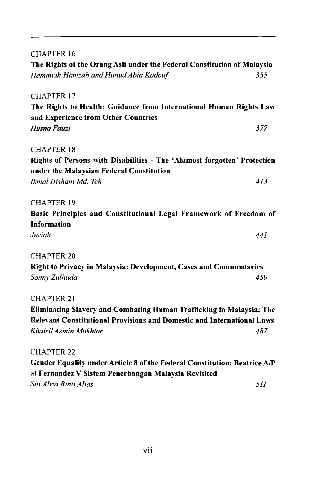| Gender Equality under Article 8 of the Federal Constitution: Beatrice A/P      |
|--------------------------------------------------------------------------------|
|                                                                                |
| 487                                                                            |
| Relevant Constitutional Provisions and Domestic and International Laws         |
| Eliminating Slavery and Combating Human Trafficking in Malaysia: The           |
|                                                                                |
| 459                                                                            |
| Right to Privacy in Malaysia: Development, Cases and Commentaries              |
|                                                                                |
| 441                                                                            |
|                                                                                |
| Basic Principles and Constitutional Legal Framework of Freedom of              |
|                                                                                |
| 413                                                                            |
|                                                                                |
| Rights of Persons with Disabilities - The 'Alamost forgotten' Protection       |
|                                                                                |
| 377                                                                            |
|                                                                                |
| The Rights to Health: Guidance from International Human Rights Law             |
|                                                                                |
|                                                                                |
| The Rights of the Orang Asli under the Federal Constitution of Malaysia<br>355 |
|                                                                                |
|                                                                                |

*Siti Aliza Rinti Alias 511*